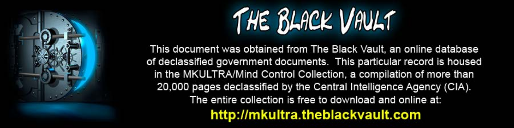

This document was obtained from The Black Vault, an online database of declassified government documents. This particular record is housed in the MKULTRA/Mind Control Collection, a compilation of more than 20,000 pages declassified by the Central Intelligence Agency (CIA). The entire collection is free to download and online at: http://mkultra.theblackvault.com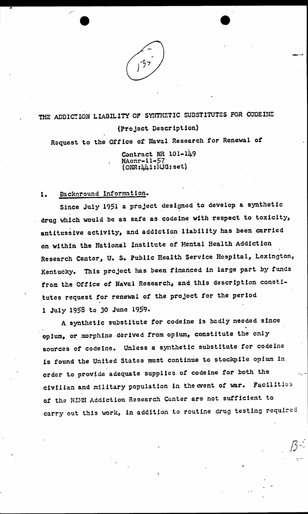

# THE ADDICTION LIABILITY OF SYNTHETIC SUBSTITUTES FOR CODEINE (Project Description)

Request to the Office of Naval Research for Renewal of

Contract NR 101-149  $\frac{NAomr-11-57}{(ONR:\ \ \ \, \mu+1:MJG;set)}$ 

#### Background Information.  $1.$

Since July 1951 a project designed to develop a synthetic drug which would be as safe as codeine with respect to toxicity, antitussive activity, and addiction liability has been carried on within the National Institute of Mental Health Addiction Research Center, U. S. Public Health Service Hospital, Lexington, Kentucky. This project has been financed in large part by funds from the Office of Naval Research, and this description constitutes request for renewal of the project for the period 1 July 1958 to 30 June 1959.

A synthetic substitute for codeine is badly needed since opium, or morphine derived from opium, constitute the only sources of codeine. Unless a synthetic substitute for codeine is found the United States must continue to stockpile opium in order to provide adequate supplies of codeine for both the civilian and military population in the event of war. Facilities of the NIMH Addiction Research Center are not sufficient to carry out this work, in addition to routine drug testing required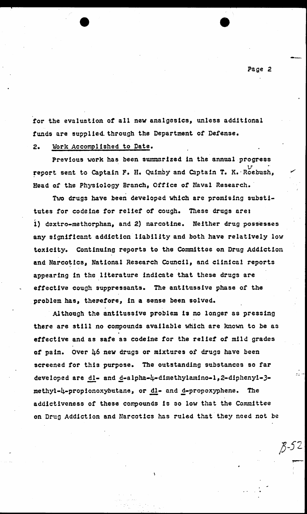for the evaluation *ot* all new analgesles, unless additional funds are supplied through the Department of Defense.

## 2. Work Accomplished to Date.

Previous work has been summarized 1n the annual progress  $\cdots$  variable  $\mathcal{U}$ report sent to Captain F. H. Quimby and Captain T. K. Roebush, Head of the Physiology Branch, Office of Naval Research.

Two drugs have been developed which are promising substitutes for codeine for relief of cough. These drugs are: i) daxtro-methorphan, and 2) narcotine. Neither drug possesses any significant addiction liability and both have relatively low toxicity. Continuing reports to the Committee on Drug Addiction and Narcotics, National Research Council, and clinical reports appearing ln the literature Indicate that these drugs are ettect!ve cough suppressants. The antitussive phase *ot* the problem has, therefore, in a sense been solved.

AJthough the ant1tuss1ve problem ls no longer as pressing there are still no compounds available which are known to be as effective and as safe as codeine for the relief of mild grades or pain. over 46 new drugs or mixtures *ot* drugs have been screened for this purpose. The outstanding substances so far developed are dl- and d-alpha-4-dimethylamino-1,2-diphenyl-3-<br>methyl-4-propionoxybutane, or dl- and d-propoxyphene. The<br>addictiveness of these compounds is so low that the Committee on Drug Addiction and Narcotics has ruled that they need not be

--·

*p--52*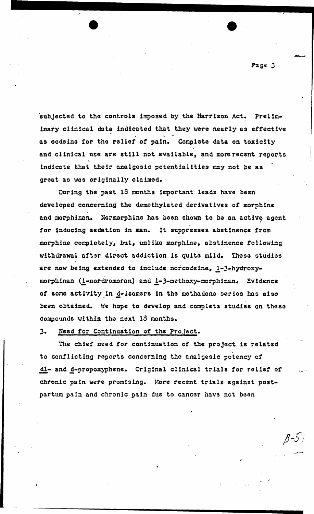Page J

.,.......-..

subjected to the controls imposed by the Harrison Act. Preliminary clinical data indicated that they were nearly as effective ... . as codeine for the relief of pain. Complete data on toxicity and clinical use are still not available, and more recent reports indicate that their analgesic potentialities may not be as great as was originally claimed.

During the past  $18$  months important leads have been developed concerning the demethylated derivatives *ot* morphine and morphinan. Normorphine has been shown to be an active agent for inducing sedation in man. It suppresses abstinence from morphine completely, but, unlike morphine, abstinence following withdrawal after direct addiction is quite mild. These studies are now being extended to include norcodeine, 1-J-hydroxy morphinan (1-nordromoran) and 1-3-methoxy-morphinan. Evidence of some activity in d-isomers in the methadone series has also .<br>been obtained. We hope to develop and complete studies on these compounds within the next 18 months.

# *3.* Need for Continuation or the ProJect.

The chief need for continuation of the project is related to conflicting reports concerning the analgesic potency or dl- and d-propoxyphene. Original clinical trials for relief of chronic pain were promising. More recent trials against postpartum pain and chronic pain due to cancer have not been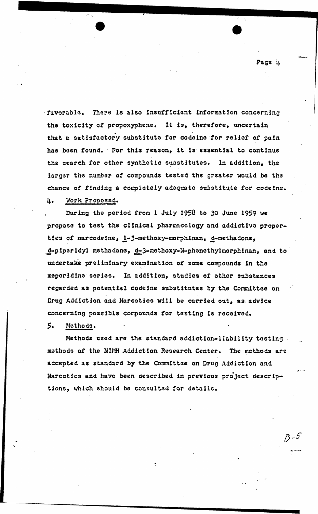·favorable. There is also insuttic!ent information concerning the toxicity of propoxyphene. It is, therefore, uncertain that a satisfactory substitute for codeine for relief of pain has been found. For this reason, it is essential to continue the search for other synthetic substitutes. In addition, the - larger the number *ot* compounds testad the greater would be the chance of finding a completely adequate substitute for codeine. 4• Work Proposed.

During the period from 1 July 1958 to 30 June 1959 we propose to test the clinical pharmacology and addictive properties of narcodeine, 1-3-methoxy-morphinan, d-methadone, d-piperidyl methadone, d-3-methoxy-N-phenethylmorphinan, and to undertake preliminary examination of some compounds in the mepcr!d1ne·series. In addition, studies or other substances regarded as potential codeine substitutes by the Committee on .<br>Drug Addiction and Narcotics will be carried out, as advice concerning possible compounds tor testing is received.

### *5.* Methods.

,·

Methods used are the standard addiction-liability testing methods of the NIMH Addiction Research Center. The methods are accepted as standard hy the Committee on Drug Addiction and Narcotics and have been described in previous project descriptions, which should be consulted for details.

·I

Page i

*1)-5"* 

 $z_2 =$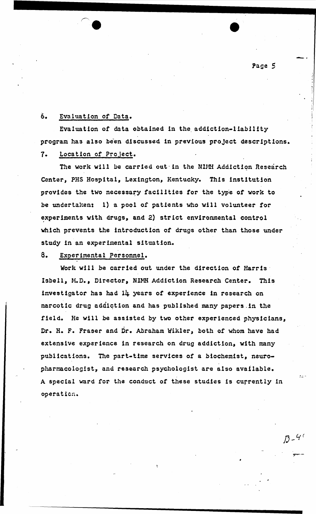Page S

-·

 $13 - 46$ 

## 6. Evaluation of Data.

Evaluation of data obtained 1n the\_ add!ction-11ab1l!ty program has also been discussed in previous proJect descriptions.

# 7. Location or Project.

The work will be carried out in the NIMH Addiction Research Center, PHS Hospital, Lexington, Kentucky. This institution provides the two necessary facilities for the type of work to be undertaken: 1) a pool of patients who will volunteer for experiments with drugs, and 2) strict environmental control which prevents the introduction of drugs other than those under study in an experimental situation.

#### 8. Exoerimental Personnel.

Work will be carried out under the direction *ot* Harris· Isbell, M.D., Director, NIMH Addiction Research Center. This investigator has had 14 years of experience in research on narcotic drug addiction and has published many papers .in the field. He will be assisted by two other experienced physicians, Dr. H. F. Fraser and Dr. Abraham Wikler, both of whom have had extensive experience in research on drug addiction, with many publications. The part-time services of a biochemist, neuropharmacologist, and research psychologist are also available. A special ward for the conduct or these studies is currently in operaticn.